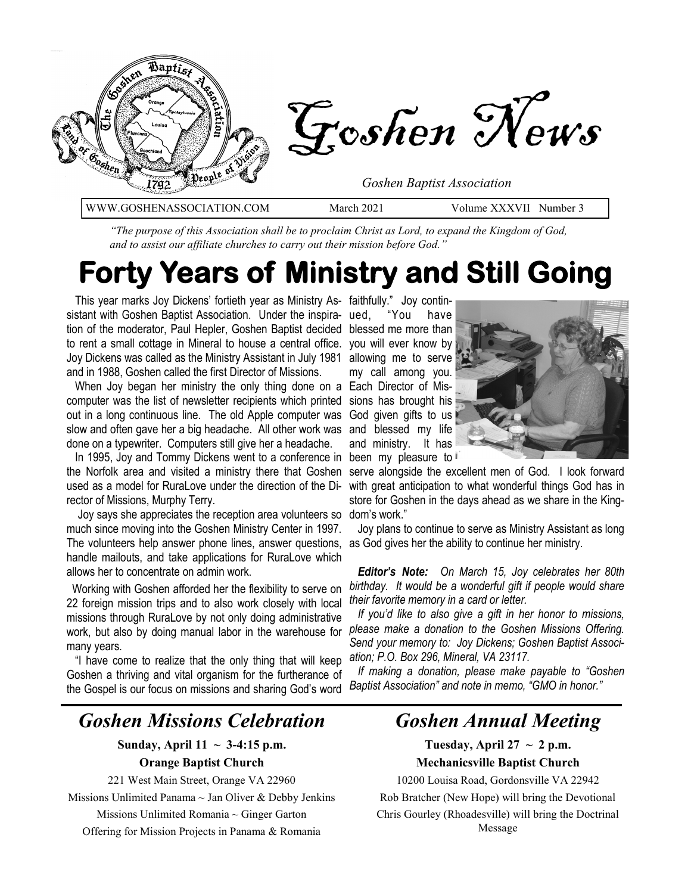

*"The purpose of this Association shall be to proclaim Christ as Lord, to expand the Kingdom of God, and to assist our affiliate churches to carry out their mission before God."*

# **Forty Years of Ministry and Still Going**

 This year marks Joy Dickens' fortieth year as Ministry As-faithfully." Joy continsistant with Goshen Baptist Association. Under the inspira- ued, tion of the moderator, Paul Hepler, Goshen Baptist decided blessed me more than to rent a small cottage in Mineral to house a central office. you will ever know by Joy Dickens was called as the Ministry Assistant in July 1981 and in 1988, Goshen called the first Director of Missions.

 When Joy began her ministry the only thing done on a Each Director of Miscomputer was the list of newsletter recipients which printed out in a long continuous line. The old Apple computer was God given gifts to us slow and often gave her a big headache. All other work was done on a typewriter. Computers still give her a headache.

 In 1995, Joy and Tommy Dickens went to a conference in the Norfolk area and visited a ministry there that Goshen used as a model for RuraLove under the direction of the Director of Missions, Murphy Terry.

 Joy says she appreciates the reception area volunteers so much since moving into the Goshen Ministry Center in 1997. The volunteers help answer phone lines, answer questions, as God gives her the ability to continue her ministry. handle mailouts, and take applications for RuraLove which allows her to concentrate on admin work.

 Working with Goshen afforded her the flexibility to serve on 22 foreign mission trips and to also work closely with local missions through RuraLove by not only doing administrative work, but also by doing manual labor in the warehouse for many years.

 "I have come to realize that the only thing that will keep Goshen a thriving and vital organism for the furtherance of the Gospel is our focus on missions and sharing God's word

### *Goshen Missions Celebration*

#### **Sunday, April 11**  $\sim$  **3-4:15 p.m.**

#### **Orange Baptist Church**

221 West Main Street, Orange VA 22960

Missions Unlimited Panama  $\sim$  Jan Oliver & Debby Jenkins

Missions Unlimited Romania  $\sim$  Ginger Garton

Offering for Mission Projects in Panama & Romania

"You have allowing me to serve my call among you. sions has brought his and blessed my life and ministry. It has been my pleasure to



serve alongside the excellent men of God. I look forward with great anticipation to what wonderful things God has in store for Goshen in the days ahead as we share in the Kingdom's work."

Joy plans to continue to serve as Ministry Assistant as long

 *Editor's Note: On March 15, Joy celebrates her 80th birthday. It would be a wonderful gift if people would share their favorite memory in a card or letter.* 

 *If you'd like to also give a gift in her honor to missions, please make a donation to the Goshen Missions Offering. Send your memory to: Joy Dickens; Goshen Baptist Association; P.O. Box 296, Mineral, VA 23117.* 

 *If making a donation, please make payable to "Goshen Baptist Association" and note in memo, "GMO in honor."* 

### *Goshen Annual Meeting*

Tuesday, April  $27 \sim 2$  p.m.

**Mechanicsville Baptist Church**

10200 Louisa Road, Gordonsville VA 22942 Rob Bratcher (New Hope) will bring the Devotional Chris Gourley (Rhoadesville) will bring the Doctrinal Message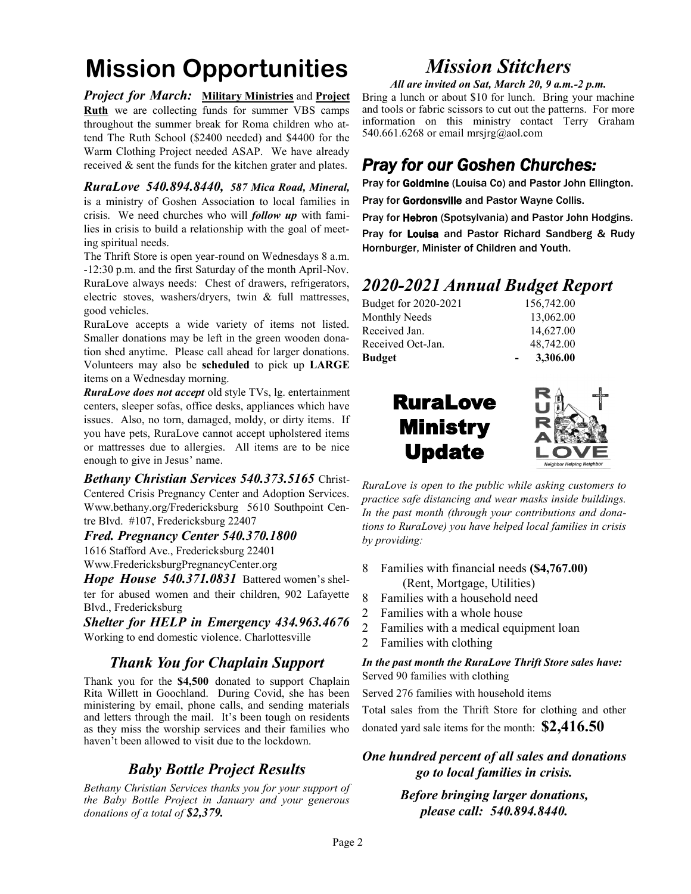## **Mission Opportunities**

*Project for March:* **Military Ministries** and **Project Ruth** we are collecting funds for summer VBS camps throughout the summer break for Roma children who attend The Ruth School (\$2400 needed) and \$4400 for the Warm Clothing Project needed ASAP. We have already received & sent the funds for the kitchen grater and plates.

*RuraLove 540.894.8440, 587 Mica Road, Mineral,* is a ministry of Goshen Association to local families in crisis. We need churches who will *follow up* with families in crisis to build a relationship with the goal of meeting spiritual needs.

The Thrift Store is open year-round on Wednesdays 8 a.m. -12:30 p.m. and the first Saturday of the month April-Nov. RuraLove always needs: Chest of drawers, refrigerators, electric stoves, washers/dryers, twin & full mattresses, good vehicles.

RuraLove accepts a wide variety of items not listed. Smaller donations may be left in the green wooden donation shed anytime. Please call ahead for larger donations. Volunteers may also be **scheduled** to pick up **LARGE** items on a Wednesday morning.

*RuraLove does not accept* old style TVs, lg. entertainment centers, sleeper sofas, office desks, appliances which have issues. Also, no torn, damaged, moldy, or dirty items. If you have pets, RuraLove cannot accept upholstered items or mattresses due to allergies. All items are to be nice enough to give in Jesus' name.

*Bethany Christian Services 540.373.5165* Christ-Centered Crisis Pregnancy Center and Adoption Services. Www.bethany.org/Fredericksburg 5610 Southpoint Centre Blvd. #107, Fredericksburg 22407

#### *Fred. Pregnancy Center 540.370.1800*

1616 Stafford Ave., Fredericksburg 22401 Www.FredericksburgPregnancyCenter.org

*Hope House 540.371.0831* Battered women's shelter for abused women and their children, 902 Lafayette Blvd., Fredericksburg

*Shelter for HELP in Emergency 434.963.4676*  Working to end domestic violence. Charlottesville

#### *Thank You for Chaplain Support*

Thank you for the **\$4,500** donated to support Chaplain Rita Willett in Goochland. During Covid, she has been ministering by email, phone calls, and sending materials and letters through the mail. It's been tough on residents as they miss the worship services and their families who haven't been allowed to visit due to the lockdown.

#### *Baby Bottle Project Results*

*Bethany Christian Services thanks you for your support of the Baby Bottle Project in January and your generous donations of a total of \$2,379.*

## *Mission Stitchers*

*All are invited on Sat, March 20, 9 a.m.-2 p.m.* 

Bring a lunch or about \$10 for lunch. Bring your machine and tools or fabric scissors to cut out the patterns. For more information on this ministry contact Terry Graham 540.661.6268 or email mrsjrg@aol.com

### *Pray for our Goshen Churches:*

Pray for Goldmine (Louisa Co) and Pastor John Ellington.

Pray for Gordonsville and Pastor Wayne Collis.

Pray for Hebron (Spotsylvania) and Pastor John Hodgins.

Pray for Louisa and Pastor Richard Sandberg & Rudy Hornburger, Minister of Children and Youth.

## *2020-2021 Annual Budget Report*

| Budget for 2020-2021 | 156,742.00 |
|----------------------|------------|
| <b>Monthly Needs</b> | 13,062.00  |
| Received Jan.        | 14,627.00  |
| Received Oct-Jan.    | 48,742.00  |
| Budget               | 3,306.00   |
|                      |            |





*RuraLove is open to the public while asking customers to practice safe distancing and wear masks inside buildings. In the past month (through your contributions and donations to RuraLove) you have helped local families in crisis by providing:*

- 8 Families with financial needs **(\$4,767.00)** (Rent, Mortgage, Utilities)
- 8 Families with a household need
- 2 Families with a whole house
- 2 Families with a medical equipment loan
- 2 Families with clothing

#### *In the past month the RuraLove Thrift Store sales have:* Served 90 families with clothing

Served 276 families with household items

Total sales from the Thrift Store for clothing and other donated yard sale items for the month: **\$2,416.50** 

*One hundred percent of all sales and donations go to local families in crisis.*

> *Before bringing larger donations, please call: 540.894.8440.*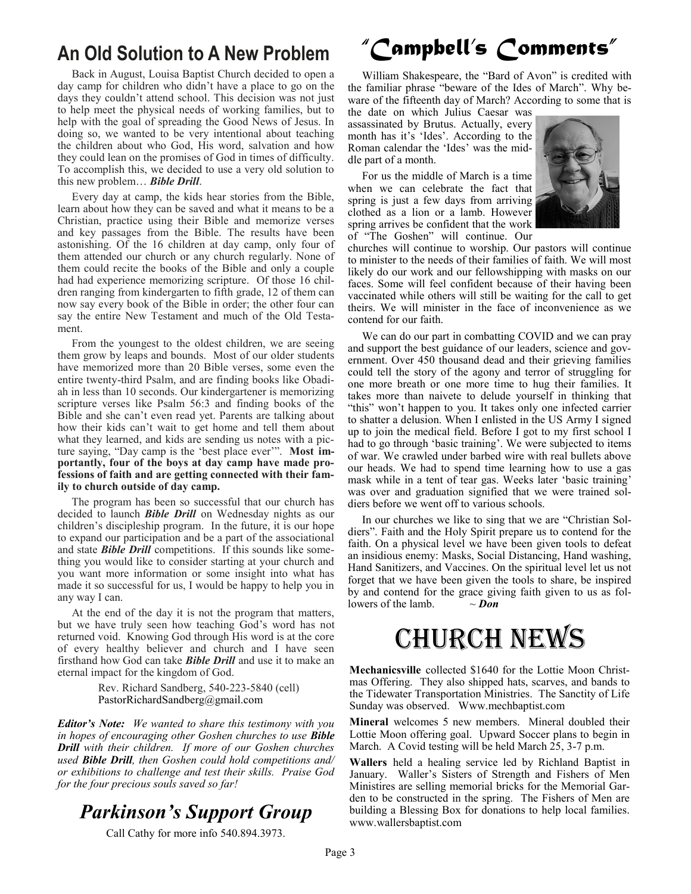## **An Old Solution to A New Problem**

 Back in August, Louisa Baptist Church decided to open a day camp for children who didn't have a place to go on the days they couldn't attend school. This decision was not just to help meet the physical needs of working families, but to help with the goal of spreading the Good News of Jesus. In doing so, we wanted to be very intentional about teaching the children about who God, His word, salvation and how they could lean on the promises of God in times of difficulty. To accomplish this, we decided to use a very old solution to this new problem… *Bible Drill*.

 Every day at camp, the kids hear stories from the Bible, learn about how they can be saved and what it means to be a Christian, practice using their Bible and memorize verses and key passages from the Bible. The results have been astonishing. Of the 16 children at day camp, only four of them attended our church or any church regularly. None of them could recite the books of the Bible and only a couple had had experience memorizing scripture. Of those 16 children ranging from kindergarten to fifth grade, 12 of them can now say every book of the Bible in order; the other four can say the entire New Testament and much of the Old Testament.

 From the youngest to the oldest children, we are seeing them grow by leaps and bounds. Most of our older students have memorized more than 20 Bible verses, some even the entire twenty-third Psalm, and are finding books like Obadiah in less than 10 seconds. Our kindergartener is memorizing scripture verses like Psalm 56:3 and finding books of the Bible and she can't even read yet. Parents are talking about how their kids can't wait to get home and tell them about what they learned, and kids are sending us notes with a picture saying, "Day camp is the 'best place ever'". **Most importantly, four of the boys at day camp have made professions of faith and are getting connected with their family to church outside of day camp.**

 The program has been so successful that our church has decided to launch *Bible Drill* on Wednesday nights as our children's discipleship program. In the future, it is our hope to expand our participation and be a part of the associational and state *Bible Drill* competitions. If this sounds like something you would like to consider starting at your church and you want more information or some insight into what has made it so successful for us, I would be happy to help you in any way I can.

 At the end of the day it is not the program that matters, but we have truly seen how teaching God's word has not returned void. Knowing God through His word is at the core of every healthy believer and church and I have seen firsthand how God can take *Bible Drill* and use it to make an eternal impact for the kingdom of God.

> Rev. Richard Sandberg, 540-223-5840 (cell) [PastorRichardSandberg@gmail.com](mailto:PastorRichardSandberg@gmail.com)

*Editor's Note: We wanted to share this testimony with you in hopes of encouraging other Goshen churches to use Bible Drill with their children. If more of our Goshen churches used Bible Drill, then Goshen could hold competitions and/ or exhibitions to challenge and test their skills. Praise God for the four precious souls saved so far!*

## *Parkinson's Support Group*

Call Cathy for more info 540.894.3973.

## *"Campbell's Comments"*

 William Shakespeare, the "Bard of Avon" is credited with the familiar phrase "beware of the Ides of March". Why beware of the fifteenth day of March? According to some that is

the date on which Julius Caesar was assassinated by Brutus. Actually, every month has it's 'Ides'. According to the Roman calendar the 'Ides' was the middle part of a month.

 For us the middle of March is a time when we can celebrate the fact that spring is just a few days from arriving clothed as a lion or a lamb. However spring arrives be confident that the work of "The Goshen" will continue. Our



churches will continue to worship. Our pastors will continue to minister to the needs of their families of faith. We will most likely do our work and our fellowshipping with masks on our faces. Some will feel confident because of their having been vaccinated while others will still be waiting for the call to get theirs. We will minister in the face of inconvenience as we contend for our faith.

 We can do our part in combatting COVID and we can pray and support the best guidance of our leaders, science and government. Over 450 thousand dead and their grieving families could tell the story of the agony and terror of struggling for one more breath or one more time to hug their families. It takes more than naivete to delude yourself in thinking that "this" won't happen to you. It takes only one infected carrier to shatter a delusion. When I enlisted in the US Army I signed up to join the medical field. Before I got to my first school I had to go through 'basic training'. We were subjected to items of war. We crawled under barbed wire with real bullets above our heads. We had to spend time learning how to use a gas mask while in a tent of tear gas. Weeks later 'basic training' was over and graduation signified that we were trained soldiers before we went off to various schools.

 In our churches we like to sing that we are "Christian Soldiers". Faith and the Holy Spirit prepare us to contend for the faith. On a physical level we have been given tools to defeat an insidious enemy: Masks, Social Distancing, Hand washing, Hand Sanitizers, and Vaccines. On the spiritual level let us not forget that we have been given the tools to share, be inspired by and contend for the grace giving faith given to us as followers of the lamb.  $\sim$  *Don* 

# Church News

**Mechanicsville** collected \$1640 for the Lottie Moon Christmas Offering. They also shipped hats, scarves, and bands to the Tidewater Transportation Ministries. The Sanctity of Life Sunday was observed. Www.mechbaptist.com

**Mineral** welcomes 5 new members. Mineral doubled their Lottie Moon offering goal. Upward Soccer plans to begin in March. A Covid testing will be held March 25, 3-7 p.m.

**Wallers** held a healing service led by Richland Baptist in January. Waller's Sisters of Strength and Fishers of Men Ministires are selling memorial bricks for the Memorial Garden to be constructed in the spring. The Fishers of Men are building a Blessing Box for donations to help local families. www.wallersbaptist.com